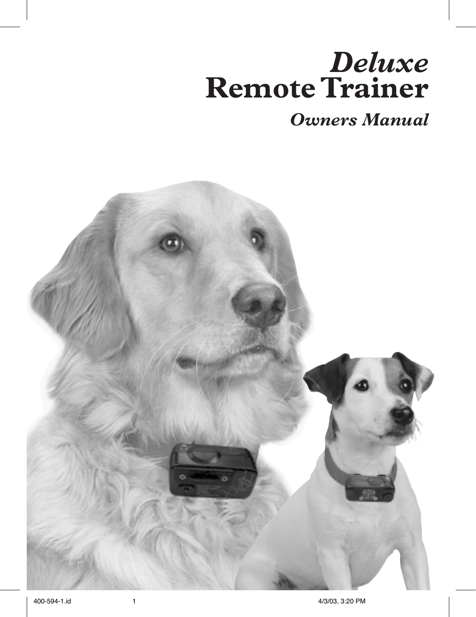# *Deluxe* **Remote Trainer**

*Owners Manual*

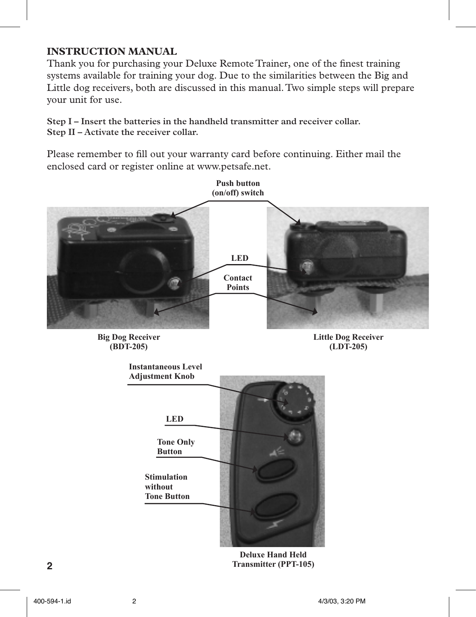## **INSTRUCTION MANUAL**

Thank you for purchasing your Deluxe Remote Trainer, one of the finest training systems available for training your dog. Due to the similarities between the Big and Little dog receivers, both are discussed in this manual. Two simple steps will prepare your unit for use.

**Step I – Insert the batteries in the handheld transmitter and receiver collar. Step II – Activate the receiver collar.**

Please remember to fill out your warranty card before continuing. Either mail the enclosed card or register online at www.petsafe.net.

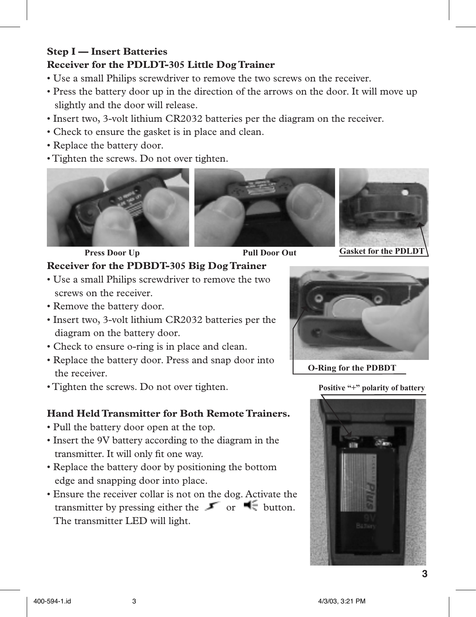#### **Step I — Insert Batteries Receiver for the PDLDT-305 Little Dog Trainer**

- Use a small Philips screwdriver to remove the two screws on the receiver.
- Press the battery door up in the direction of the arrows on the door. It will move up slightly and the door will release.
- Insert two, 3-volt lithium CR2032 batteries per the diagram on the receiver.
- Check to ensure the gasket is in place and clean.
- Replace the battery door.
- Tighten the screws. Do not over tighten.









**Press Door Up Pull Door Out Gasket for the PDLDT** 

## **Receiver for the PDBDT-305 Big Dog Trainer**

- Use a small Philips screwdriver to remove the two screws on the receiver.
- Remove the battery door.
- Insert two, 3-volt lithium CR2032 batteries per the diagram on the battery door.
- Check to ensure o-ring is in place and clean.
- Replace the battery door. Press and snap door into the receiver.
- Tighten the screws. Do not over tighten.

## **Hand Held Transmitter for Both Remote Trainers.**

- Pull the battery door open at the top.
- Insert the 9V battery according to the diagram in the transmitter. It will only fit one way.
- Replace the battery door by positioning the bottom edge and snapping door into place.
- Ensure the receiver collar is not on the dog. Activate the transmitter by pressing either the  $\bullet$  or  $\bullet$  button. The transmitter LED will light.



**O-Ring for the PDBDT**

**Positive "+" polarity of battery**

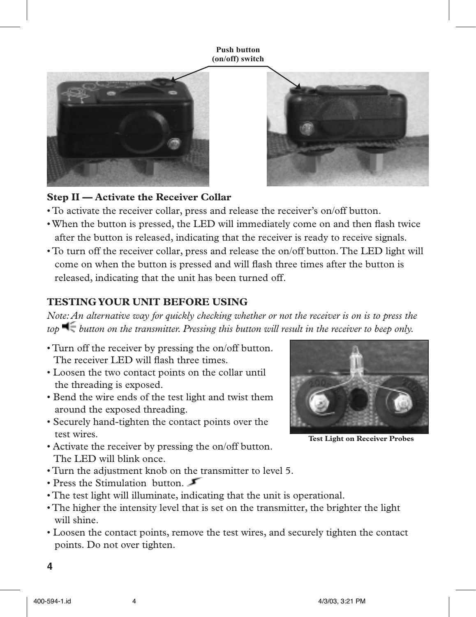**Push button (on/off) switch**





#### **Step II — Activate the Receiver Collar**

- To activate the receiver collar, press and release the receiver's on/off button.
- When the button is pressed, the LED will immediately come on and then flash twice after the button is released, indicating that the receiver is ready to receive signals.
- To turn off the receiver collar, press and release the on/off button. The LED light will come on when the button is pressed and will flash three times after the button is released, indicating that the unit has been turned off.

## **TESTING YOUR UNIT BEFORE USING**

*Note: An alternative way for quickly checking whether or not the receiver is on is to press the top button on the transmitter. Pressing this button will result in the receiver to beep only.*

- Turn off the receiver by pressing the on/off button. The receiver LED will flash three times.
- Loosen the two contact points on the collar until the threading is exposed.
- Bend the wire ends of the test light and twist them around the exposed threading.
- Securely hand-tighten the contact points over the test wires.
- Activate the receiver by pressing the on/off button. The LED will blink once.



**Test Light on Receiver Probes**

- Turn the adjustment knob on the transmitter to level 5.
- Press the Stimulation button.
- The test light will illuminate, indicating that the unit is operational.
- The higher the intensity level that is set on the transmitter, the brighter the light will shine.
- Loosen the contact points, remove the test wires, and securely tighten the contact points. Do not over tighten.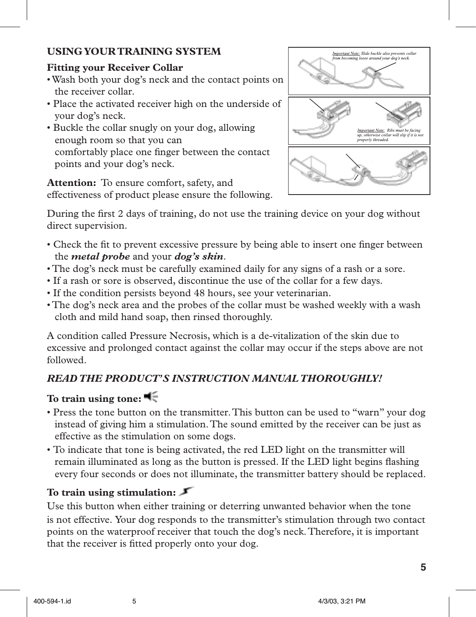## **USING YOUR TRAINING SYSTEM**

## **Fitting your Receiver Collar**

- Wash both your dog's neck and the contact points on the receiver collar.
- Place the activated receiver high on the underside of your dog's neck.
- Buckle the collar snugly on your dog, allowing enough room so that you can comfortably place one finger between the contact points and your dog's neck.

**Attention:** To ensure comfort, safety, and effectiveness of product please ensure the following.



During the first 2 days of training, do not use the training device on your dog without direct supervision.

- Check the fit to prevent excessive pressure by being able to insert one finger between the *metal probe* and your *dog's skin*.
- The dog's neck must be carefully examined daily for any signs of a rash or a sore.
- If a rash or sore is observed, discontinue the use of the collar for a few days.
- If the condition persists beyond 48 hours, see your veterinarian.
- The dog's neck area and the probes of the collar must be washed weekly with a wash cloth and mild hand soap, then rinsed thoroughly.

A condition called Pressure Necrosis, which is a de-vitalization of the skin due to excessive and prolonged contact against the collar may occur if the steps above are not followed.

## *READ THE PRODUCT'S INSTRUCTION MANUAL THOROUGHLY!*

## **To train using tone:**

- Press the tone button on the transmitter. This button can be used to "warn" your dog instead of giving him a stimulation. The sound emitted by the receiver can be just as effective as the stimulation on some dogs.
- To indicate that tone is being activated, the red LED light on the transmitter will remain illuminated as long as the button is pressed. If the LED light begins flashing every four seconds or does not illuminate, the transmitter battery should be replaced.

## **To train using stimulation:**

Use this button when either training or deterring unwanted behavior when the tone is not effective. Your dog responds to the transmitter's stimulation through two contact points on the waterproof receiver that touch the dog's neck. Therefore, it is important that the receiver is fitted properly onto your dog.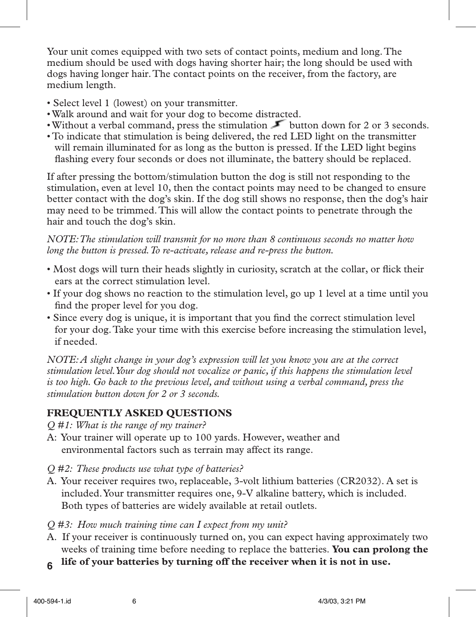Your unit comes equipped with two sets of contact points, medium and long. The medium should be used with dogs having shorter hair; the long should be used with dogs having longer hair. The contact points on the receiver, from the factory, are medium length.

- Select level 1 (lowest) on your transmitter.
- Walk around and wait for your dog to become distracted.
- Without a verbal command, press the stimulation button down for 2 or 3 seconds.
- To indicate that stimulation is being delivered, the red LED light on the transmitter will remain illuminated for as long as the button is pressed. If the LED light begins flashing every four seconds or does not illuminate, the battery should be replaced.

If after pressing the bottom/stimulation button the dog is still not responding to the stimulation, even at level 10, then the contact points may need to be changed to ensure better contact with the dog's skin. If the dog still shows no response, then the dog's hair may need to be trimmed. This will allow the contact points to penetrate through the hair and touch the dog's skin.

*NOTE: The stimulation will transmit for no more than 8 continuous seconds no matter how long the button is pressed. To re-activate, release and re-press the button.*

- Most dogs will turn their heads slightly in curiosity, scratch at the collar, or flick their ears at the correct stimulation level.
- If your dog shows no reaction to the stimulation level, go up 1 level at a time until you find the proper level for you dog.
- Since every dog is unique, it is important that you find the correct stimulation level for your dog. Take your time with this exercise before increasing the stimulation level, if needed.

*NOTE: A slight change in your dog's expression will let you know you are at the correct stimulation level. Your dog should not vocalize or panic, if this happens the stimulation level is too high. Go back to the previous level, and without using a verbal command, press the stimulation button down for 2 or 3 seconds.*

#### **FREQUENTLY ASKED QUESTIONS**

*Q #1: What is the range of my trainer?*

- A: Your trainer will operate up to 100 yards. However, weather and environmental factors such as terrain may affect its range.
- *Q #2: These products use what type of batteries?*
- A. Your receiver requires two, replaceable, 3-volt lithium batteries (CR2032). A set is included. Your transmitter requires one, 9-V alkaline battery, which is included. Both types of batteries are widely available at retail outlets.
- *Q #3: How much training time can I expect from my unit?*
- A. If your receiver is continuously turned on, you can expect having approximately two weeks of training time before needing to replace the batteries. **You can prolong the**
- **life of your batteries by turning off the receiver when it is not in use. <sup>6</sup>**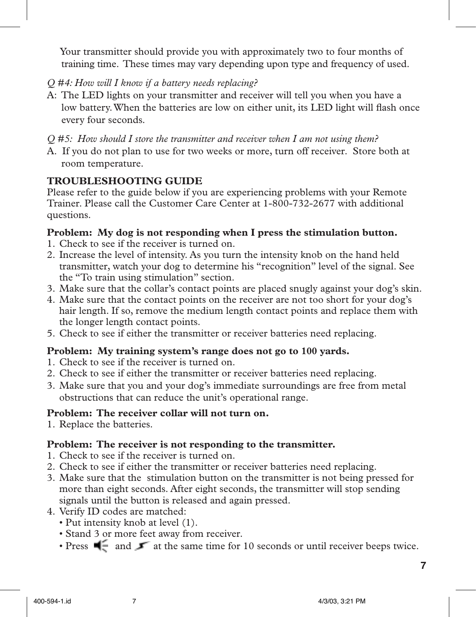Your transmitter should provide you with approximately two to four months of training time. These times may vary depending upon type and frequency of used.

- *Q #4: How will I know if a battery needs replacing?*
- A: The LED lights on your transmitter and receiver will tell you when you have a low battery. When the batteries are low on either unit, its LED light will flash once every four seconds.
- *Q #5: How should I store the transmitter and receiver when I am not using them?*
- A. If you do not plan to use for two weeks or more, turn off receiver. Store both at room temperature.

#### **TROUBLESHOOTING GUIDE**

Please refer to the guide below if you are experiencing problems with your Remote Trainer. Please call the Customer Care Center at 1-800-732-2677 with additional questions.

#### **Problem: My dog is not responding when I press the stimulation button.**

- 1. Check to see if the receiver is turned on.
- 2. Increase the level of intensity. As you turn the intensity knob on the hand held transmitter, watch your dog to determine his "recognition" level of the signal. See the "To train using stimulation" section.
- 3. Make sure that the collar's contact points are placed snugly against your dog's skin.
- 4. Make sure that the contact points on the receiver are not too short for your dog's hair length. If so, remove the medium length contact points and replace them with the longer length contact points.
- 5. Check to see if either the transmitter or receiver batteries need replacing.

#### **Problem: My training system's range does not go to 100 yards.**

- 1. Check to see if the receiver is turned on.
- 2. Check to see if either the transmitter or receiver batteries need replacing.
- 3. Make sure that you and your dog's immediate surroundings are free from metal obstructions that can reduce the unit's operational range.

#### **Problem: The receiver collar will not turn on.**

1. Replace the batteries.

#### **Problem: The receiver is not responding to the transmitter.**

- 1. Check to see if the receiver is turned on.
- 2. Check to see if either the transmitter or receiver batteries need replacing.
- 3. Make sure that the stimulation button on the transmitter is not being pressed for more than eight seconds. After eight seconds, the transmitter will stop sending signals until the button is released and again pressed.
- 4. Verify ID codes are matched:
	- Put intensity knob at level (1).
	- Stand 3 or more feet away from receiver.
	- Press  $\blacksquare$  and  $\blacksquare$  at the same time for 10 seconds or until receiver beeps twice.